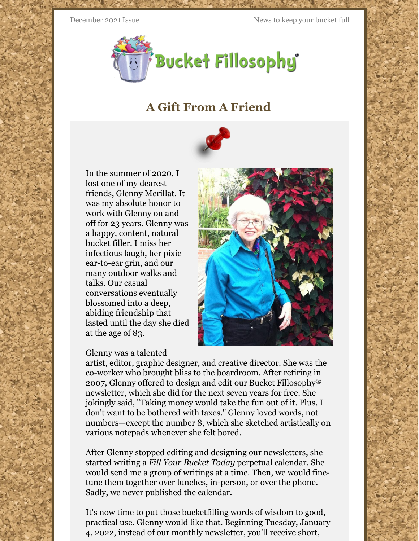December 2021 Issue News to keep your bucket full



## **A Gift From A Friend**



In the summer of 2020, I lost one of my dearest friends, Glenny Merillat. It was my absolute honor to work with Glenny on and off for 23 years. Glenny was a happy, content, natural bucket filler. I miss her infectious laugh, her pixie ear-to-ear grin, and our many outdoor walks and talks. Our casual conversations eventually blossomed into a deep, abiding friendship that lasted until the day she died at the age of 83.

## Glenny was a talented

artist, editor, graphic designer, and creative director. She was the co-worker who brought bliss to the boardroom. After retiring in 2007, Glenny offered to design and edit our Bucket Fillosophy® newsletter, which she did for the next seven years for free. She jokingly said, "Taking money would take the fun out of it. Plus, I don't want to be bothered with taxes." Glenny loved words, not numbers—except the number 8, which she sketched artistically on various notepads whenever she felt bored.

After Glenny stopped editing and designing our newsletters, she started writing a *Fill Your Bucket Today* perpetual calendar. She would send me a group of writings at a time. Then, we would finetune them together over lunches, in-person, or over the phone. Sadly, we never published the calendar.

It's now time to put those bucketfilling words of wisdom to good, practical use. Glenny would like that. Beginning Tuesday, January 4, 2022, instead of our monthly newsletter, you'll receive short,